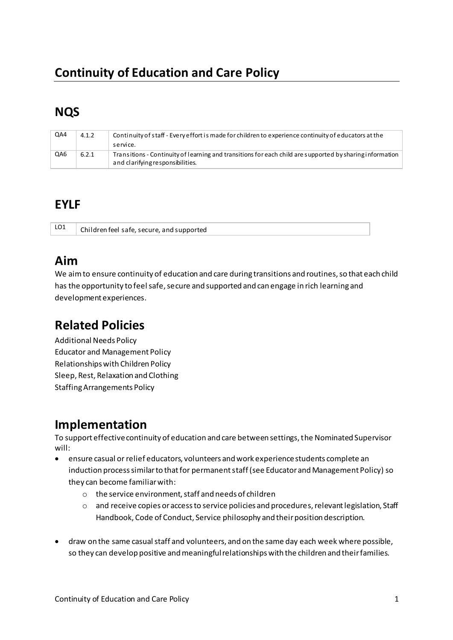# **Continuity of Education and Care Policy**

# **NQS**

| QA4 | 4.1.2 | Continuity of staff - Every effort is made for children to experience continuity of educators at the<br>service.                             |
|-----|-------|----------------------------------------------------------------------------------------------------------------------------------------------|
| QA6 | 6.2.1 | Transitions - Continuity of learning and transitions for each child are supported by sharing information<br>and clarifying responsibilities. |

## **EYLF**

LO1 Children feel safe, secure, and supported

# **Aim**

We aim to ensure continuity of education and care during transitions and routines, so that each child has the opportunity to feel safe, secure and supported and can engage in rich learning and development experiences.

# **Related Policies**

Additional Needs Policy Educator and Management Policy Relationships with Children Policy Sleep, Rest, Relaxation and Clothing Staffing Arrangements Policy

### **Implementation**

To support effective continuity of education and care between settings, the Nominated Supervisor will:

- ensure casual or relief educators, volunteers and work experience students complete an induction process similar to that for permanent staff (see Educator and Management Policy) so they can become familiar with:
	- o the service environment, staff and needs of children
	- o and receive copies or access to service policies and procedures, relevant legislation, Staff Handbook, Code of Conduct, Service philosophy and their position description.
- draw on the same casual staff and volunteers, and on the same day each week where possible, so they can develop positive and meaningful relationships with the children and their families.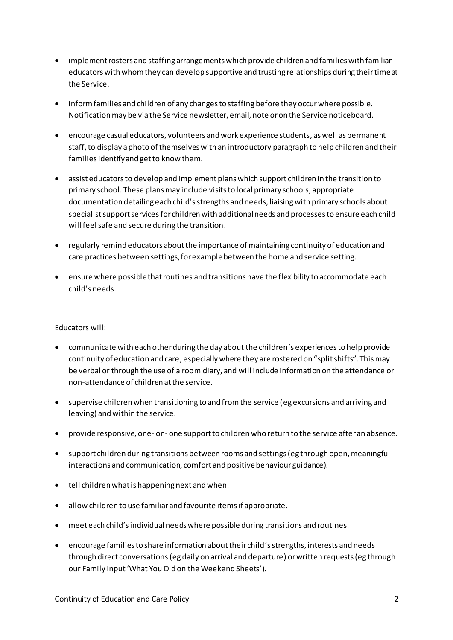- implement rosters and staffing arrangements which provide children and families with familiar educators with whom they can develop supportive and trusting relationships during their time at the Service.
- inform families and children of any changes to staffing before they occur where possible. Notification may be via the Service newsletter, email, note or on the Service noticeboard.
- encourage casual educators, volunteers and work experience students, as well as permanent staff, to display a photo of themselves with an introductory paragraph to help children and their families identify and get to know them.
- assist educators to develop and implement plans which support children in the transition to primary school. These plans may include visits to local primary schools, appropriate documentation detailing each child's strengths and needs, liaising with primary schools about specialist support services for children with additional needs and processes to ensure each child will feel safe and secure during the transition.
- regularly remind educators about the importance of maintaining continuity of education and care practices between settings, for example between the home and service setting.
- ensure where possible that routines and transitions have the flexibility to accommodate each child's needs.

#### Educators will:

- communicate with each other during the day about the children's experiences to help provide continuity of education and care, especially where they are rostered on "split shifts". This may be verbal or through the use of a room diary, and will include information on the attendance or non-attendance of children at the service.
- supervise children when transitioning to and from the service (eg excursions and arriving and leaving) and within the service.
- provide responsive, one-on-one support to children who return to the service after an absence.
- support children during transitions between rooms and settings (eg through open, meaningful interactions and communication, comfort and positive behaviour guidance).
- tell children what is happening next and when.
- allow children to use familiar and favourite items if appropriate.
- meet each child's individual needs where possible during transitions and routines.
- encourage families to share information about their child's strengths, interests and needs through direct conversations (eg daily on arrival and departure) or written requests (eg through our Family Input 'What You Did on the Weekend Sheets').